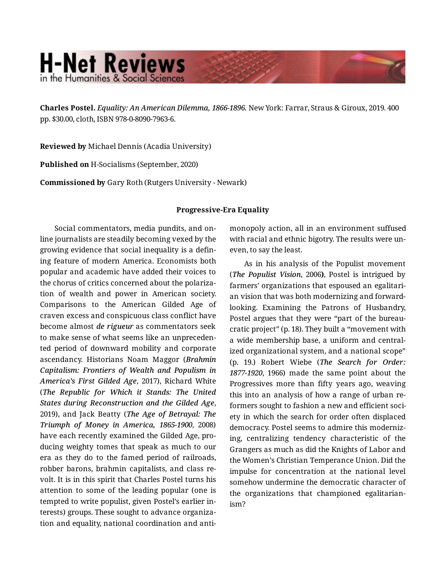## **H-Net Reviews** in the Humanities & Social Sciend

**Charles Postel.** *Equality: An American Dilemma, 1866-1896.* New York: Farrar, Straus & Giroux, 2019. 400 pp. \$30.00, cloth, ISBN 978-0-8090-7963-6.

**Reviewed by** Michael Dennis (Acadia University)

**Published on** H-Socialisms (September, 2020)

**Commissioned by** Gary Roth (Rutgers University - Newark)

## **Progressive-Era Equality**

Social commentators, media pundits, and on‐ line journalists are steadily becoming vexed by the growing evidence that social inequality is a defin‐ ing feature of modern America. Economists both popular and academic have added their voices to the chorus of critics concerned about the polariza‐ tion of wealth and power in American society. Comparisons to the American Gilded Age of craven excess and conspicuous class conflict have become almost *de rigueur* as commentators seek to make sense of what seems like an unpreceden‐ ted period of downward mobility and corporate ascendancy. Historians Noam Maggor (*Brahmin Capitalism: Frontiers of Wealth and Populism in America's First Gilded Age*, 2017), Richard White (*The Republic for Which it Stands: The United States during Reconstruction and the Gilded Age*, 2019), and Jack Beatty (*The Age of Betrayal: The Triumph of Money in America, 1865-1900*, 2008) have each recently examined the Gilded Age, pro‐ ducing weighty tomes that speak as much to our era as they do to the famed period of railroads, robber barons, brahmin capitalists, and class re‐ volt. It is in this spirit that Charles Postel turns his attention to some of the leading popular (one is tempted to write populist, given Postel's earlier in‐ terests) groups. These sought to advance organiza‐ tion and equality, national coordination and antimonopoly action, all in an environment suffused with racial and ethnic bigotry. The results were un‐ even, to say the least.

As in his analysis of the Populist movement (*The Populist Vision*, 2006**)**, Postel is intrigued by farmers' organizations that espoused an egalitari‐ an vision that was both modernizing and forwardlooking. Examining the Patrons of Husbandry, Postel argues that they were "part of the bureau‐ cratic project" (p. 18). They built a "movement with a wide membership base, a uniform and central‐ ized organizational system, and a national scope" (p. 19.) Robert Wiebe (*The Search for Order: 1877-1920*, 1966) made the same point about the Progressives more than fifty years ago, weaving this into an analysis of how a range of urban re‐ formers sought to fashion a new and efficient society in which the search for order often displaced democracy. Postel seems to admire this moderniz‐ ing, centralizing tendency characteristic of the Grangers as much as did the Knights of Labor and the Women's Christian Temperance Union. Did the impulse for concentration at the national level somehow undermine the democratic character of the organizations that championed egalitarian‐ ism?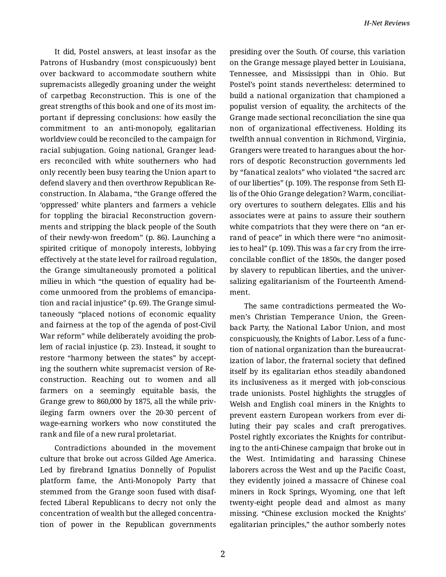It did, Postel answers, at least insofar as the Patrons of Husbandry (most conspicuously) bent over backward to accommodate southern white supremacists allegedly groaning under the weight of carpetbag Reconstruction. This is one of the great strengths of this book and one of its most im‐ portant if depressing conclusions: how easily the commitment to an anti-monopoly, egalitarian worldview could be reconciled to the campaign for racial subjugation. Going national, Granger lead‐ ers reconciled with white southerners who had only recently been busy tearing the Union apart to defend slavery and then overthrow Republican Re‐ construction. In Alabama, "the Grange offered the 'oppressed' white planters and farmers a vehicle for toppling the biracial Reconstruction govern‐ ments and stripping the black people of the South of their newly-won freedom" (p. 86). Launching a spirited critique of monopoly interests, lobbying effectively at the state level for railroad regulation, the Grange simultaneously promoted a political milieu in which "the question of equality had be‐ come unmoored from the problems of emancipa‐ tion and racial injustice" (p. 69). The Grange simul‐ taneously "placed notions of economic equality and fairness at the top of the agenda of post-Civil War reform" while deliberately avoiding the problem of racial injustice (p. 23). Instead, it sought to restore "harmony between the states" by accept‐ ing the southern white supremacist version of Re‐ construction. Reaching out to women and all farmers on a seemingly equitable basis, the Grange grew to 860,000 by 1875, all the while priv‐ ileging farm owners over the 20-30 percent of wage-earning workers who now constituted the rank and file of a new rural proletariat.

Contradictions abounded in the movement culture that broke out across Gilded Age America. Led by firebrand Ignatius Donnelly of Populist platform fame, the Anti-Monopoly Party that stemmed from the Grange soon fused with disaf‐ fected Liberal Republicans to decry not only the concentration of wealth but the alleged concentra‐ tion of power in the Republican governments presiding over the South. Of course, this variation on the Grange message played better in Louisiana, Tennessee, and Mississippi than in Ohio. But Postel's point stands nevertheless: determined to build a national organization that championed a populist version of equality, the architects of the Grange made sectional reconciliation the sine qua non of organizational effectiveness. Holding its twelfth annual convention in Richmond, Virginia, Grangers were treated to harangues about the hor‐ rors of despotic Reconstruction governments led by "fanatical zealots" who violated "the sacred arc of our liberties" (p. 109). The response from Seth El‐ lis of the Ohio Grange delegation? Warm, conciliat‐ ory overtures to southern delegates. Ellis and his associates were at pains to assure their southern white compatriots that they were there on "an errand of peace" in which there were "no animosit‐ ies to heal" (p. 109). This was a far cry from the irre‐ concilable conflict of the 1850s, the danger posed by slavery to republican liberties, and the univer‐ salizing egalitarianism of the Fourteenth Amend‐ ment.

The same contradictions permeated the Wo‐ men's Christian Temperance Union, the Green‐ back Party, the National Labor Union, and most conspicuously, the Knights of Labor. Less of a func‐ tion of national organization than the bureaucrat‐ ization of labor, the fraternal society that defined itself by its egalitarian ethos steadily abandoned its inclusiveness as it merged with job-conscious trade unionists. Postel highlights the struggles of Welsh and English coal miners in the Knights to prevent eastern European workers from ever di‐ luting their pay scales and craft prerogatives. Postel rightly excoriates the Knights for contribut‐ ing to the anti-Chinese campaign that broke out in the West. Intimidating and harassing Chinese laborers across the West and up the Pacific Coast, they evidently joined a massacre of Chinese coal miners in Rock Springs, Wyoming, one that left twenty-eight people dead and almost as many missing. "Chinese exclusion mocked the Knights' egalitarian principles," the author somberly notes

2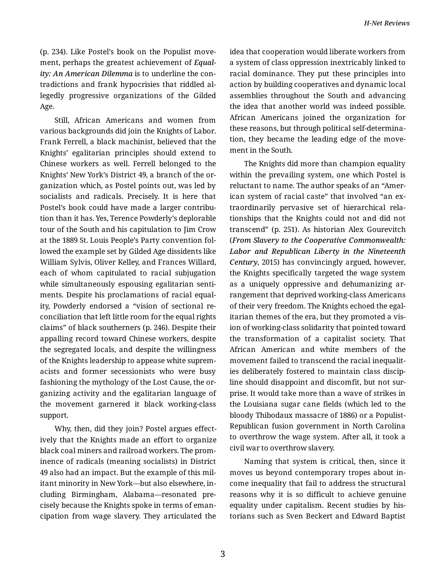(p. 234). Like Postel's book on the Populist move‐ ment, perhaps the greatest achievement of *Equal‐ ity: An American Dilemma* is to underline the con‐ tradictions and frank hypocrisies that riddled al‐ legedly progressive organizations of the Gilded Age.

Still, African Americans and women from various backgrounds did join the Knights of Labor. Frank Ferrell, a black machinist, believed that the Knights' egalitarian principles should extend to Chinese workers as well. Ferrell belonged to the Knights' New York's District 49, a branch of the or‐ ganization which, as Postel points out, was led by socialists and radicals. Precisely. It is here that Postel's book could have made a larger contribu‐ tion than it has. Yes, Terence Powderly's deplorable tour of the South and his capitulation to Jim Crow at the 1889 St. Louis People's Party convention fol‐ lowed the example set by Gilded Age dissidents like William Sylvis, Oliver Kelley, and Frances Willard, each of whom capitulated to racial subjugation while simultaneously espousing egalitarian senti‐ ments. Despite his proclamations of racial equal‐ ity, Powderly endorsed a "vision of sectional re‐ conciliation that left little room for the equal rights claims" of black southerners (p. 246). Despite their appalling record toward Chinese workers, despite the segregated locals, and despite the willingness of the Knights leadership to appease white suprem‐ acists and former secessionists who were busy fashioning the mythology of the Lost Cause, the or‐ ganizing activity and the egalitarian language of the movement garnered it black working-class support.

Why, then, did they join? Postel argues effect‐ ively that the Knights made an effort to organize black coal miners and railroad workers. The prom‐ inence of radicals (meaning socialists) in District 49 also had an impact. But the example of this mil‐ itant minority in New York—but also elsewhere, in‐ cluding Birmingham, Alabama—resonated pre‐ cisely because the Knights spoke in terms of eman‐ cipation from wage slavery. They articulated the idea that cooperation would liberate workers from a system of class oppression inextricably linked to racial dominance. They put these principles into action by building cooperatives and dynamic local assemblies throughout the South and advancing the idea that another world was indeed possible. African Americans joined the organization for these reasons, but through political self-determina‐ tion, they became the leading edge of the move‐ ment in the South.

The Knights did more than champion equality within the prevailing system, one which Postel is reluctant to name. The author speaks of an "Amer‐ ican system of racial caste" that involved "an ex‐ traordinarily pervasive set of hierarchical rela‐ tionships that the Knights could not and did not transcend" (p. 251). As historian Alex Gourevitch (*From Slavery to the Cooperative Commonwealth: Labor and Republican Liberty in the Nineteenth Century*, 2015) has convincingly argued, however, the Knights specifically targeted the wage system as a uniquely oppressive and dehumanizing ar‐ rangement that deprived working-class Americans of their very freedom. The Knights echoed the egal‐ itarian themes of the era, but they promoted a vis‐ ion of working-class solidarity that pointed toward the transformation of a capitalist society. That African American and white members of the movement failed to transcend the racial inequalit‐ ies deliberately fostered to maintain class discip‐ line should disappoint and discomfit, but not sur‐ prise. It would take more than a wave of strikes in the Louisiana sugar cane fields (which led to the bloody Thibodaux massacre of 1886) or a Populist-Republican fusion government in North Carolina to overthrow the wage system. After all, it took a civil war to overthrow slavery.

Naming that system is critical, then, since it moves us beyond contemporary tropes about in‐ come inequality that fail to address the structural reasons why it is so difficult to achieve genuine equality under capitalism. Recent studies by his‐ torians such as Sven Beckert and Edward Baptist

3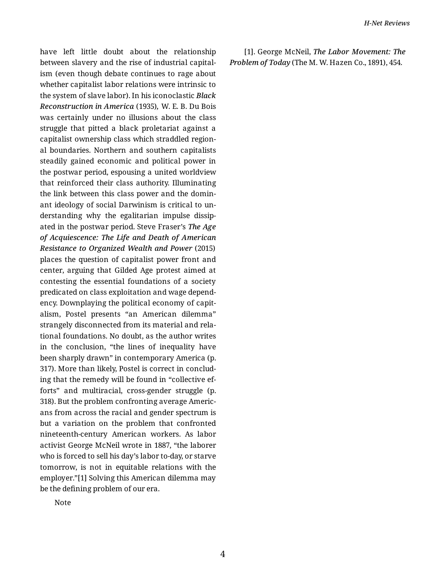have left little doubt about the relationship between slavery and the rise of industrial capital‐ ism (even though debate continues to rage about whether capitalist labor relations were intrinsic to the system of slave labor). In his iconoclastic *Black Reconstruction in America* (1935)*,* W. E. B. Du Bois was certainly under no illusions about the class struggle that pitted a black proletariat against a capitalist ownership class which straddled region‐ al boundaries. Northern and southern capitalists steadily gained economic and political power in the postwar period, espousing a united worldview that reinforced their class authority. Illuminating the link between this class power and the domin‐ ant ideology of social Darwinism is critical to un‐ derstanding why the egalitarian impulse dissip‐ ated in the postwar period. Steve Fraser's *The Age of Acquiescence: The Life and Death of American Resistance to Organized Wealth and Power* (2015) places the question of capitalist power front and center, arguing that Gilded Age protest aimed at contesting the essential foundations of a society predicated on class exploitation and wage depend‐ ency. Downplaying the political economy of capit‐ alism, Postel presents "an American dilemma" strangely disconnected from its material and rela‐ tional foundations. No doubt, as the author writes in the conclusion, "the lines of inequality have been sharply drawn" in contemporary America (p. 317). More than likely, Postel is correct in conclud‐ ing that the remedy will be found in "collective ef‐ forts" and multiracial, cross-gender struggle (p. 318). But the problem confronting average Americ‐ ans from across the racial and gender spectrum is but a variation on the problem that confronted nineteenth-century American workers. As labor activist George McNeil wrote in 1887, "the laborer who is forced to sell his day's labor to-day, or starve tomorrow, is not in equitable relations with the employer."[1] Solving this American dilemma may be the defining problem of our era.

[1]. George McNeil, *The Labor Movement: The Problem of Today* (The M. W. Hazen Co., 1891), 454.

Note